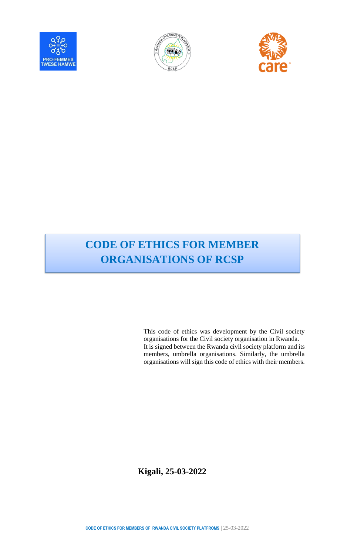





# **CODE OF ETHICS FOR MEMBER ORGANISATIONS OF RCSP**

This code of ethics was development by the Civil society organisations for the Civil society organisation in Rwanda. It is signed between the Rwanda civil society platform and its members, umbrella organisations. Similarly, the umbrella organisations will sign this code of ethics with their members.

**Kigali, 25-03-2022**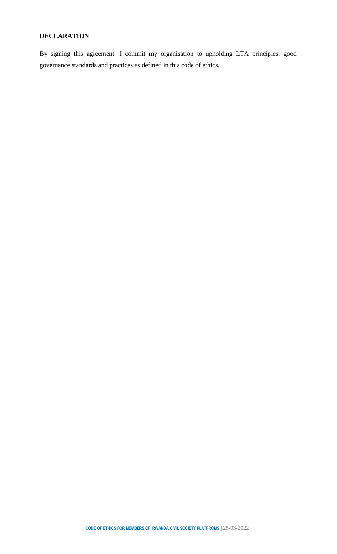#### **DECLARATION**

By signing this agreement, I commit my organisation to upholding LTA principles, good governance standards and practices as defined in this code of ethics.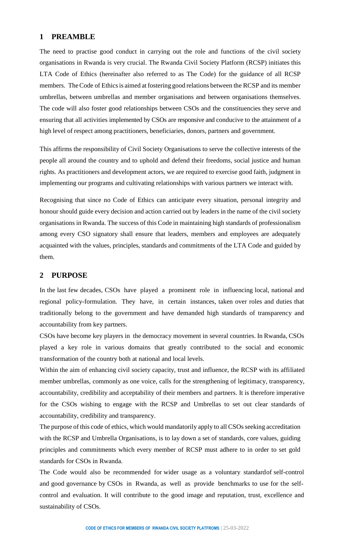#### **1 PREAMBLE**

The need to practise good conduct in carrying out the role and functions of the civil society organisations in Rwanda is very crucial. The Rwanda Civil Society Platform (RCSP) initiates this LTA Code of Ethics (hereinafter also referred to as The Code) for the guidance of all RCSP members. The Code of Ethics is aimed at fostering good relations between the RCSP and its member umbrellas, between umbrellas and member organisations and between organisations themselves. The code will also foster good relationships between CSOs and the constituencies they serve and ensuring that all activities implemented by CSOs are responsive and conducive to the attainment of a high level of respect among practitioners, beneficiaries, donors, partners and government.

This affirms the responsibility of Civil Society Organisations to serve the collective interests of the people all around the country and to uphold and defend their freedoms, social justice and human rights. As practitioners and development actors, we are required to exercise good faith, judgment in implementing our programs and cultivating relationships with various partners we interact with.

Recognising that since no Code of Ethics can anticipate every situation, personal integrity and honour should guide every decision and action carried out by leaders in the name of the civil society organisations in Rwanda. The success of this Code in maintaining high standards of professionalism among every CSO signatory shall ensure that leaders, members and employees are adequately acquainted with the values, principles, standards and commitments of the LTA Code and guided by them.

## **2 PURPOSE**

In the last few decades, CSOs have played a prominent role in influencing local, national and regional policy-formulation. They have, in certain instances, taken over roles and duties that traditionally belong to the government and have demanded high standards of transparency and accountability from key partners.

CSOs have become key players in the democracy movement in several countries. In Rwanda, CSOs played a key role in various domains that greatly contributed to the social and economic transformation of the country both at national and local levels.

Within the aim of enhancing civil society capacity, trust and influence, the RCSP with its affiliated member umbrellas, commonly as one voice, calls for the strengthening of legitimacy, transparency, accountability, credibility and acceptability of their members and partners. It is therefore imperative for the CSOs wishing to engage with the RCSP and Umbrellas to set out clear standards of accountability, credibility and transparency.

The purpose of this code of ethics, which would mandatorily apply to all CSOs seeking accreditation with the RCSP and Umbrella Organisations, is to lay down a set of standards, core values, guiding principles and commitments which every member of RCSP must adhere to in order to set gold standards for CSOs in Rwanda.

The Code would also be recommended for wider usage as a voluntary standardof self-control and good governance by CSOs in Rwanda, as well as provide benchmarks to use for the selfcontrol and evaluation. It will contribute to the good image and reputation, trust, excellence and sustainability of CSOs.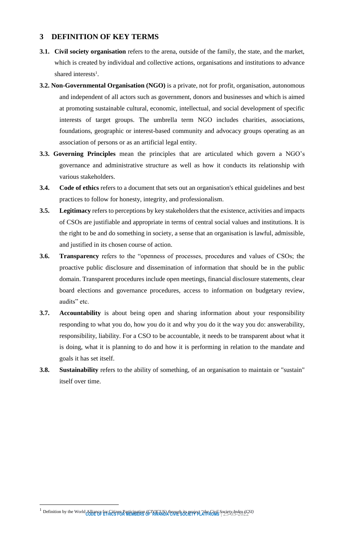## **3 DEFINITION OF KEY TERMS**

- **3.1. Civil society organisation** refers to the arena, outside of the family, the state, and the market, which is created by individual and collective actions, organisations and institutions to advance shared interests<sup>1</sup>.
- **3.2. Non-Governmental Organisation (NGO)** is a private, not for profit, organisation, autonomous and independent of all actors such as government, donors and businesses and which is aimed at promoting sustainable cultural, economic, intellectual, and social development of specific interests of target groups. The umbrella term NGO includes charities, associations, foundations, geographic or interest-based community and advocacy groups operating as an association of persons or as an artificial legal entity.
- **3.3. Governing Principles** mean the principles that are articulated which govern a NGO's governance and administrative structure as well as how it conducts its relationship with various stakeholders.
- **3.4. Code of ethics** refers to a document that sets out an organisation's ethical guidelines and best practices to follow for honesty, integrity, and professionalism.
- **3.5. Legitimacy** refers to perceptions by key stakeholders that the existence, activities and impacts of CSOs are justifiable and appropriate in terms of central social values and institutions. It is the right to be and do something in society, a sense that an organisation is lawful, admissible, and justified in its chosen course of action.
- **3.6. Transparency** refers to the "openness of processes, procedures and values of CSOs; the proactive public disclosure and dissemination of information that should be in the public domain. Transparent procedures include open meetings, financial disclosure statements, clear board elections and governance procedures, access to information on budgetary review, audits" etc.
- **3.7. Accountability** is about being open and sharing information about your responsibility responding to what you do, how you do it and why you do it the way you do: answerability, responsibility, liability. For a CSO to be accountable, it needs to be transparent about what it is doing, what it is planning to do and how it is performing in relation to the mandate and goals it has set itself.
- **3.8. Sustainability** refers to the ability of something, of an organisation to maintain or "sustain" itself over time.

 $\overline{a}$ 

<sup>&</sup>lt;sup>1</sup> Definition by the World Alliance for Citizen Participation (CIVICUS) through its project "*the Civil*s Society *Index (CSI)*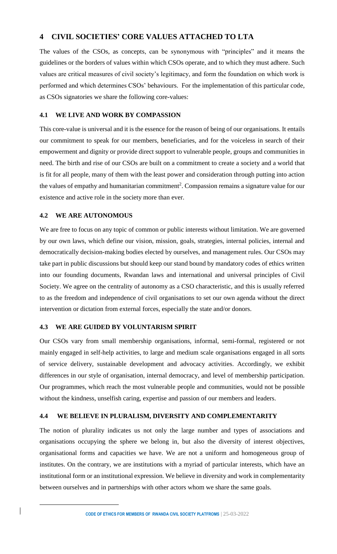## **4 CIVIL SOCIETIES' CORE VALUES ATTACHED TO LTA**

The values of the CSOs, as concepts, can be synonymous with "principles" and it means the guidelines or the borders of values within which CSOs operate, and to which they must adhere. Such values are critical measures of civil society's legitimacy, and form the foundation on which work is performed and which determines CSOs' behaviours. For the implementation of this particular code, as CSOs signatories we share the following core-values:

#### **4.1 WE LIVE AND WORK BY COMPASSION**

This core-value is universal and it is the essence for the reason of being of our organisations. It entails our commitment to speak for our members, beneficiaries, and for the voiceless in search of their empowerment and dignity or provide direct support to vulnerable people, groups and communities in need. The birth and rise of our CSOs are built on a commitment to create a society and a world that is fit for all people, many of them with the least power and consideration through putting into action the values of empathy and humanitarian commitment<sup>2</sup>. Compassion remains a signature value for our existence and active role in the society more than ever.

# **4.2 WE ARE AUTONOMOUS**

 $\overline{a}$ 

 $\overline{\phantom{a}}$ 

We are free to focus on any topic of common or public interests without limitation. We are governed by our own laws, which define our vision, mission, goals, strategies, internal policies, internal and democratically decision-making bodies elected by ourselves, and management rules. Our CSOs may take part in public discussions but should keep our stand bound by mandatory codes of ethics written into our founding documents, Rwandan laws and international and universal principles of Civil Society. We agree on the centrality of autonomy as a CSO characteristic, and this is usually referred to as the freedom and independence of civil organisations to set our own agenda without the direct intervention or dictation from external forces, especially the state and/or donors.

#### **4.3 WE ARE GUIDED BY VOLUNTARISM SPIRIT**

Our CSOs vary from small membership organisations, informal, semi-formal, registered or not mainly engaged in self-help activities, to large and medium scale organisations engaged in all sorts of service delivery, sustainable development and advocacy activities. Accordingly, we exhibit differences in our style of organisation, internal democracy, and level of membership participation. Our programmes, which reach the most vulnerable people and communities, would not be possible without the kindness, unselfish caring, expertise and passion of our members and leaders.

#### **4.4 WE BELIEVE IN PLURALISM, DIVERSITY AND COMPLEMENTARITY**

The notion of plurality indicates us not only the large number and types of associations and organisations occupying the sphere we belong in, but also the diversity of interest objectives, organisational forms and capacities we have. We are not a uniform and homogeneous group of institutes. On the contrary, we are institutions with a myriad of particular interests, which have an institutional form or an institutional expression. We believe in diversity and work in complementarity between ourselves and in partnerships with other actors whom we share the same goals.

**CODE OF ETHICS FOR MEMBERS OF RWANDA CIVIL SOCIETY PLATFROMS** | 25-03-2022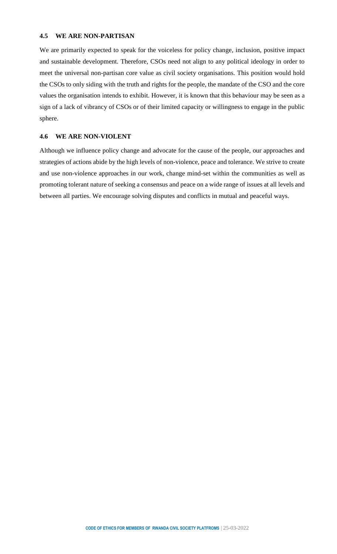#### **4.5 WE ARE NON-PARTISAN**

We are primarily expected to speak for the voiceless for policy change, inclusion, positive impact and sustainable development. Therefore, CSOs need not align to any political ideology in order to meet the universal non-partisan core value as civil society organisations. This position would hold the CSOs to only siding with the truth and rights for the people, the mandate of the CSO and the core values the organisation intends to exhibit. However, it is known that this behaviour may be seen as a sign of a lack of vibrancy of CSOs or of their limited capacity or willingness to engage in the public sphere.

#### **4.6 WE ARE NON-VIOLENT**

Although we influence policy change and advocate for the cause of the people, our approaches and strategies of actions abide by the high levels of non-violence, peace and tolerance. We strive to create and use non-violence approaches in our work, change mind-set within the communities as well as promoting tolerant nature of seeking a consensus and peace on a wide range of issues at all levels and between all parties. We encourage solving disputes and conflicts in mutual and peaceful ways.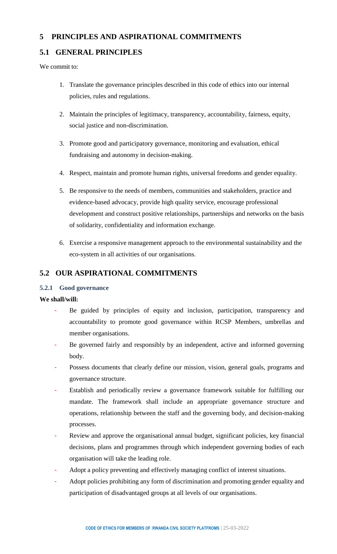# **5 PRINCIPLES AND ASPIRATIONAL COMMITMENTS**

# **5.1 GENERAL PRINCIPLES**

We commit to:

- 1. Translate the governance principles described in this code of ethics into our internal policies, rules and regulations.
- 2. Maintain the principles of legitimacy, transparency, accountability, fairness, equity, social justice and non-discrimination.
- 3. Promote good and participatory governance, monitoring and evaluation, ethical fundraising and autonomy in decision-making.
- 4. Respect, maintain and promote human rights, universal freedoms and gender equality.
- 5. Be responsive to the needs of members, communities and stakeholders, practice and evidence-based advocacy, provide high quality service, encourage professional development and construct positive relationships, partnerships and networks on the basis of solidarity, confidentiality and information exchange.
- 6. Exercise a responsive management approach to the environmental sustainability and the eco-system in all activities of our organisations.

# **5.2 OUR ASPIRATIONAL COMMITMENTS**

#### **5.2.1 Good governance**

- Be guided by principles of equity and inclusion, participation, transparency and accountability to promote good governance within RCSP Members, umbrellas and member organisations.
- Be governed fairly and responsibly by an independent, active and informed governing body.
- Possess documents that clearly define our mission, vision, general goals, programs and governance structure.
- Establish and periodically review a governance framework suitable for fulfilling our mandate. The framework shall include an appropriate governance structure and operations, relationship between the staff and the governing body, and decision-making processes.
- Review and approve the organisational annual budget, significant policies, key financial decisions, plans and programmes through which independent governing bodies of each organisation will take the leading role.
- Adopt a policy preventing and effectively managing conflict of interest situations.
- Adopt policies prohibiting any form of discrimination and promoting gender equality and participation of disadvantaged groups at all levels of our organisations.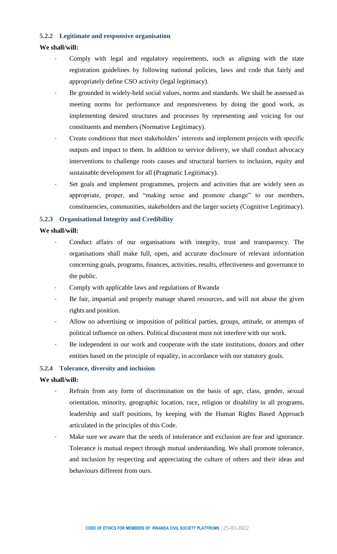#### **5.2.2 Legitimate and responsive organisation**

## **We shall/will:**

- Comply with legal and regulatory requirements, such as aligning with the state registration guidelines by following national policies, laws and code that fairly and appropriately define CSO activity (legal legitimacy).
- Be grounded in widely-held social values, norms and standards. We shall be assessed as meeting norms for performance and responsiveness by doing the good work, as implementing desired structures and processes by representing and voicing for our constituents and members (Normative Legitimacy).
- Create conditions that meet stakeholders' interests and implement projects with specific outputs and impact to them. In addition to service delivery, we shall conduct advocacy interventions to challenge roots causes and structural barriers to inclusion, equity and sustainable development for all (Pragmatic Legitimacy).
- Set goals and implement programmes, projects and activities that are widely seen as appropriate, proper, and "making sense and promote change" to our members, constituencies, communities, stakeholders and the larger society (Cognitive Legitimacy).

#### **5.2.3 Organisational Integrity and Credibility**

#### **We shall/will:**

- Conduct affairs of our organisations with integrity, trust and transparency. The organisations shall make full, open, and accurate disclosure of relevant information concerning goals, programs, finances, activities, results, effectiveness and governance to the public.
- Comply with applicable laws and regulations of Rwanda
- Be fair, impartial and properly manage shared resources, and will not abuse the given rights and position.
- Allow no advertising or imposition of political parties, groups, attitude, or attempts of political influence on others. Political discontent must not interfere with our work.
- Be independent in our work and cooperate with the state institutions, donors and other entities based on the principle of equality, in accordance with our statutory goals.

## **5.2.4 Tolerance, diversity and inclusion**

- Refrain from any form of discrimination on the basis of age, class, gender, sexual orientation, minority, geographic location, race, religion or disability in all programs, leadership and staff positions, by keeping with the Human Rights Based Approach articulated in the principles of this Code.
- Make sure we aware that the seeds of intolerance and exclusion are fear and ignorance. Tolerance is mutual respect through mutual understanding. We shall promote tolerance, and inclusion by respecting and appreciating the culture of others and their ideas and behaviours different from ours.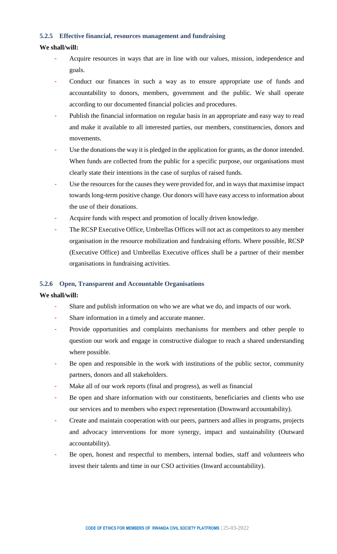#### **5.2.5 Effective financial, resources management and fundraising**

#### **We shall/will:**

- Acquire resources in ways that are in line with our values, mission, independence and goals.
- Conduct our finances in such a way as to ensure appropriate use of funds and accountability to donors, members, government and the public. We shall operate according to our documented financial policies and procedures.
- Publish the financial information on regular basis in an appropriate and easy way to read and make it available to all interested parties, our members, constituencies, donors and movements.
- Use the donations the way it is pledged in the application for grants, as the donor intended. When funds are collected from the public for a specific purpose, our organisations must clearly state their intentions in the case of surplus of raised funds.
- Use the resources for the causes they were provided for, and in ways that maximise impact towards long-term positive change. Our donors will have easy access to information about the use of their donations.
- Acquire funds with respect and promotion of locally driven knowledge.
- The RCSP Executive Office, Umbrellas Offices will not act as competitors to any member organisation in the resource mobilization and fundraising efforts. Where possible, RCSP (Executive Office) and Umbrellas Executive offices shall be a partner of their member organisations in fundraising activities.

#### **5.2.6 Open, Transparent and Accountable Organisations**

- Share and publish information on who we are what we do, and impacts of our work.
- Share information in a timely and accurate manner.
- Provide opportunities and complaints mechanisms for members and other people to question our work and engage in constructive dialogue to reach a shared understanding where possible.
- Be open and responsible in the work with institutions of the public sector, community partners, donors and all stakeholders.
- Make all of our work reports (final and progress), as well as financial
- Be open and share information with our constituents, beneficiaries and clients who use our services and to members who expect representation (Downward accountability).
- Create and maintain cooperation with our peers, partners and allies in programs, projects and advocacy interventions for more synergy, impact and sustainability (Outward accountability).
- Be open, honest and respectful to members, internal bodies, staff and volunteers who invest their talents and time in our CSO activities (Inward accountability).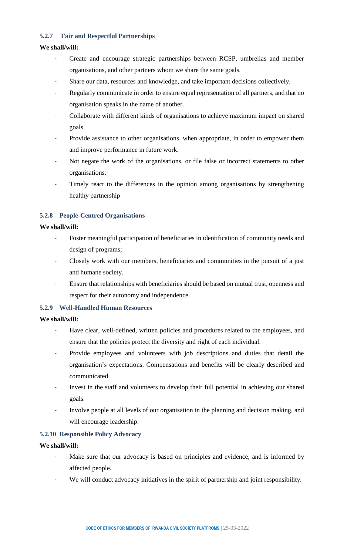#### **5.2.7 Fair and Respectful Partnerships**

#### **We shall/will:**

- Create and encourage strategic partnerships between RCSP, umbrellas and member organisations, and other partners whom we share the same goals.
- Share our data, resources and knowledge, and take important decisions collectively.
- Regularly communicate in order to ensure equal representation of all partners, and that no organisation speaks in the name of another.
- Collaborate with different kinds of organisations to achieve maximum impact on shared goals.
- Provide assistance to other organisations, when appropriate, in order to empower them and improve performance in future work.
- Not negate the work of the organisations, or file false or incorrect statements to other organisations.
- Timely react to the differences in the opinion among organisations by strengthening healthy partnership

## **5.2.8 People-Centred Organisations**

#### **We shall/will:**

- Foster meaningful participation of beneficiaries in identification of community needs and design of programs;
- Closely work with our members, beneficiaries and communities in the pursuit of a just and humane society.
- Ensure that relationships with beneficiaries should be based on mutual trust, openness and respect for their autonomy and independence.

## **5.2.9 Well-Handled Human Resources**

#### **We shall/will:**

- Have clear, well-defined, written policies and procedures related to the employees, and ensure that the policies protect the diversity and right of each individual.
- Provide employees and volunteers with job descriptions and duties that detail the organisation's expectations. Compensations and benefits will be clearly described and communicated.
- Invest in the staff and volunteers to develop their full potential in achieving our shared goals.
- Involve people at all levels of our organisation in the planning and decision making, and will encourage leadership.

#### **5.2.10 Responsible Policy Advocacy**

- Make sure that our advocacy is based on principles and evidence, and is informed by affected people.
- We will conduct advocacy initiatives in the spirit of partnership and joint responsibility.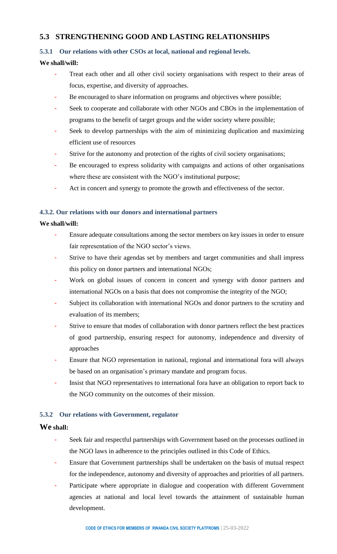## **5.3 STRENGTHENING GOOD AND LASTING RELATIONSHIPS**

## **5.3.1 Our relations with other CSOs at local, national and regional levels.**

## **We shall/will:**

- Treat each other and all other civil society organisations with respect to their areas of focus, expertise, and diversity of approaches.
- Be encouraged to share information on programs and objectives where possible;
- Seek to cooperate and collaborate with other NGOs and CBOs in the implementation of programs to the benefit of target groups and the wider society where possible;
- Seek to develop partnerships with the aim of minimizing duplication and maximizing efficient use of resources
- Strive for the autonomy and protection of the rights of civil society organisations;
- Be encouraged to express solidarity with campaigns and actions of other organisations where these are consistent with the NGO's institutional purpose;
- Act in concert and synergy to promote the growth and effectiveness of the sector.

#### **4.3.2. Our relations with our donors and international partners**

#### **We shall/will:**

- Ensure adequate consultations among the sector members on key issues in order to ensure fair representation of the NGO sector's views.
- Strive to have their agendas set by members and target communities and shall impress this policy on donor partners and international NGOs;
- Work on global issues of concern in concert and synergy with donor partners and international NGOs on a basis that does not compromise the integrity of the NGO;
- Subject its collaboration with international NGOs and donor partners to the scrutiny and evaluation of its members;
- Strive to ensure that modes of collaboration with donor partners reflect the best practices of good partnership, ensuring respect for autonomy, independence and diversity of approaches
- Ensure that NGO representation in national, regional and international fora will always be based on an organisation's primary mandate and program focus.
- Insist that NGO representatives to international fora have an obligation to report back to the NGO community on the outcomes of their mission.

#### **5.3.2 Our relations with Government, regulator**

#### **We shall:**

- Seek fair and respectful partnerships with Government based on the processes outlined in the NGO laws in adherence to the principles outlined in this Code of Ethics.
- Ensure that Government partnerships shall be undertaken on the basis of mutual respect for the independence, autonomy and diversity of approaches and priorities of all partners.
- Participate where appropriate in dialogue and cooperation with different Government agencies at national and local level towards the attainment of sustainable human development.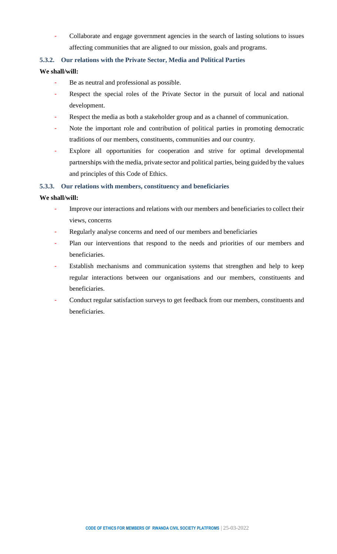- Collaborate and engage government agencies in the search of lasting solutions to issues affecting communities that are aligned to our mission, goals and programs.

#### **5.3.2. Our relations with the Private Sector, Media and Political Parties**

#### **We shall/will:**

- Be as neutral and professional as possible.
- Respect the special roles of the Private Sector in the pursuit of local and national development.
- Respect the media as both a stakeholder group and as a channel of communication.
- Note the important role and contribution of political parties in promoting democratic traditions of our members, constituents, communities and our country.
- Explore all opportunities for cooperation and strive for optimal developmental partnerships with the media, private sector and political parties, being guided by the values and principles of this Code of Ethics.

#### **5.3.3. Our relations with members, constituency and beneficiaries**

- Improve our interactions and relations with our members and beneficiaries to collect their views, concerns
- Regularly analyse concerns and need of our members and beneficiaries
- Plan our interventions that respond to the needs and priorities of our members and beneficiaries.
- Establish mechanisms and communication systems that strengthen and help to keep regular interactions between our organisations and our members, constituents and beneficiaries.
- Conduct regular satisfaction surveys to get feedback from our members, constituents and beneficiaries.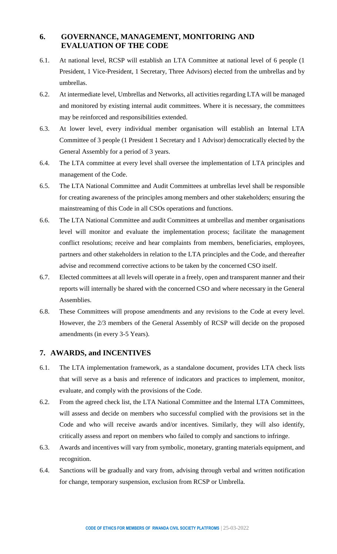# **6. GOVERNANCE, MANAGEMENT, MONITORING AND EVALUATION OF THE CODE**

- 6.1. At national level, RCSP will establish an LTA Committee at national level of 6 people (1 President, 1 Vice-President, 1 Secretary, Three Advisors) elected from the umbrellas and by umbrellas.
- 6.2. At intermediate level, Umbrellas and Networks, all activities regarding LTA will be managed and monitored by existing internal audit committees. Where it is necessary, the committees may be reinforced and responsibilities extended.
- 6.3. At lower level, every individual member organisation will establish an Internal LTA Committee of 3 people (1 President 1 Secretary and 1 Advisor) democratically elected by the General Assembly for a period of 3 years.
- 6.4. The LTA committee at every level shall oversee the implementation of LTA principles and management of the Code.
- 6.5. The LTA National Committee and Audit Committees at umbrellas level shall be responsible for creating awareness of the principles among members and other stakeholders; ensuring the mainstreaming of this Code in all CSOs operations and functions.
- 6.6. The LTA National Committee and audit Committees at umbrellas and member organisations level will monitor and evaluate the implementation process; facilitate the management conflict resolutions; receive and hear complaints from members, beneficiaries, employees, partners and other stakeholders in relation to the LTA principles and the Code, and thereafter advise and recommend corrective actions to be taken by the concerned CSO itself.
- 6.7. Elected committees at all levels will operate in a freely, open and transparent manner and their reports will internally be shared with the concerned CSO and where necessary in the General Assemblies.
- 6.8. These Committees will propose amendments and any revisions to the Code at every level. However, the 2/3 members of the General Assembly of RCSP will decide on the proposed amendments (in every 3-5 Years).

## **7. AWARDS, and INCENTIVES**

- 6.1. The LTA implementation framework, as a standalone document, provides LTA check lists that will serve as a basis and reference of indicators and practices to implement, monitor, evaluate, and comply with the provisions of the Code.
- 6.2. From the agreed check list, the LTA National Committee and the Internal LTA Committees, will assess and decide on members who successful complied with the provisions set in the Code and who will receive awards and/or incentives. Similarly, they will also identify, critically assess and report on members who failed to comply and sanctions to infringe.
- 6.3. Awards and incentives will vary from symbolic, monetary, granting materials equipment, and recognition.
- 6.4. Sanctions will be gradually and vary from, advising through verbal and written notification for change, temporary suspension, exclusion from RCSP or Umbrella.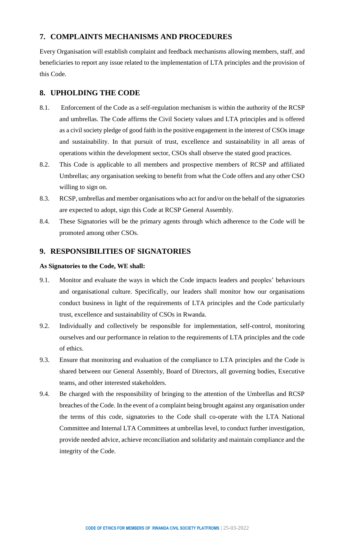## **7. COMPLAINTS MECHANISMS AND PROCEDURES**

Every Organisation will establish complaint and feedback mechanisms allowing members, staff, and beneficiaries to report any issue related to the implementation of LTA principles and the provision of this Code.

# **8. UPHOLDING THE CODE**

- 8.1. Enforcement of the Code as a self-regulation mechanism is within the authority of the RCSP and umbrellas. The Code affirms the Civil Society values and LTA principles and is offered as a civil society pledge of good faith in the positive engagement in the interest of CSOs image and sustainability. In that pursuit of trust, excellence and sustainability in all areas of operations within the development sector, CSOs shall observe the stated good practices.
- 8.2. This Code is applicable to all members and prospective members of RCSP and affiliated Umbrellas; any organisation seeking to benefit from what the Code offers and any other CSO willing to sign on.
- 8.3. RCSP, umbrellas and member organisations who act for and/or on the behalf of the signatories are expected to adopt, sign this Code at RCSP General Assembly.
- 8.4. These Signatories will be the primary agents through which adherence to the Code will be promoted among other CSOs.

## **9. RESPONSIBILITIES OF SIGNATORIES**

#### **As Signatories to the Code, WE shall:**

- 9.1. Monitor and evaluate the ways in which the Code impacts leaders and peoples' behaviours and organisational culture. Specifically, our leaders shall monitor how our organisations conduct business in light of the requirements of LTA principles and the Code particularly trust, excellence and sustainability of CSOs in Rwanda.
- 9.2. Individually and collectively be responsible for implementation, self-control, monitoring ourselves and our performance in relation to the requirements of LTA principles and the code of ethics.
- 9.3. Ensure that monitoring and evaluation of the compliance to LTA principles and the Code is shared between our General Assembly, Board of Directors, all governing bodies, Executive teams, and other interested stakeholders.
- 9.4. Be charged with the responsibility of bringing to the attention of the Umbrellas and RCSP breaches of the Code. In the event of a complaint being brought against any organisation under the terms of this code, signatories to the Code shall co-operate with the LTA National Committee and Internal LTA Committees at umbrellas level, to conduct further investigation, provide needed advice, achieve reconciliation and solidarity and maintain compliance and the integrity of the Code.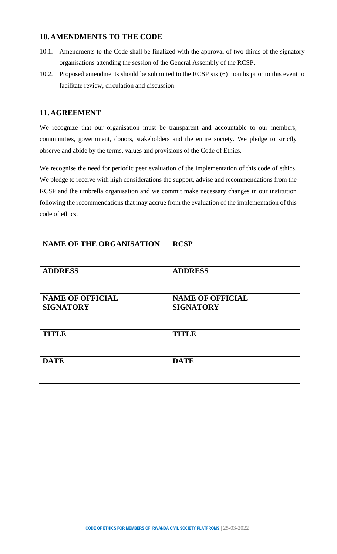## **10.AMENDMENTS TO THE CODE**

- 10.1. Amendments to the Code shall be finalized with the approval of two thirds of the signatory organisations attending the session of the General Assembly of the RCSP.
- 10.2. Proposed amendments should be submitted to the RCSP six (6) months prior to this event to facilitate review, circulation and discussion.

## **11.AGREEMENT**

We recognize that our organisation must be transparent and accountable to our members, communities, government, donors, stakeholders and the entire society. We pledge to strictly observe and abide by the terms, values and provisions of the Code of Ethics.

We recognise the need for periodic peer evaluation of the implementation of this code of ethics. We pledge to receive with high considerations the support, advise and recommendations from the RCSP and the umbrella organisation and we commit make necessary changes in our institution following the recommendations that may accrue from the evaluation of the implementation of this code of ethics.

# **NAME OF THE ORGANISATION RCSP**

| <b>ADDRESS</b>                              | <b>ADDRESS</b>                              |  |  |
|---------------------------------------------|---------------------------------------------|--|--|
| <b>NAME OF OFFICIAL</b><br><b>SIGNATORY</b> | <b>NAME OF OFFICIAL</b><br><b>SIGNATORY</b> |  |  |
| <b>TITLE</b>                                | <b>TITLE</b>                                |  |  |
| <b>DATE</b>                                 | <b>DATE</b>                                 |  |  |